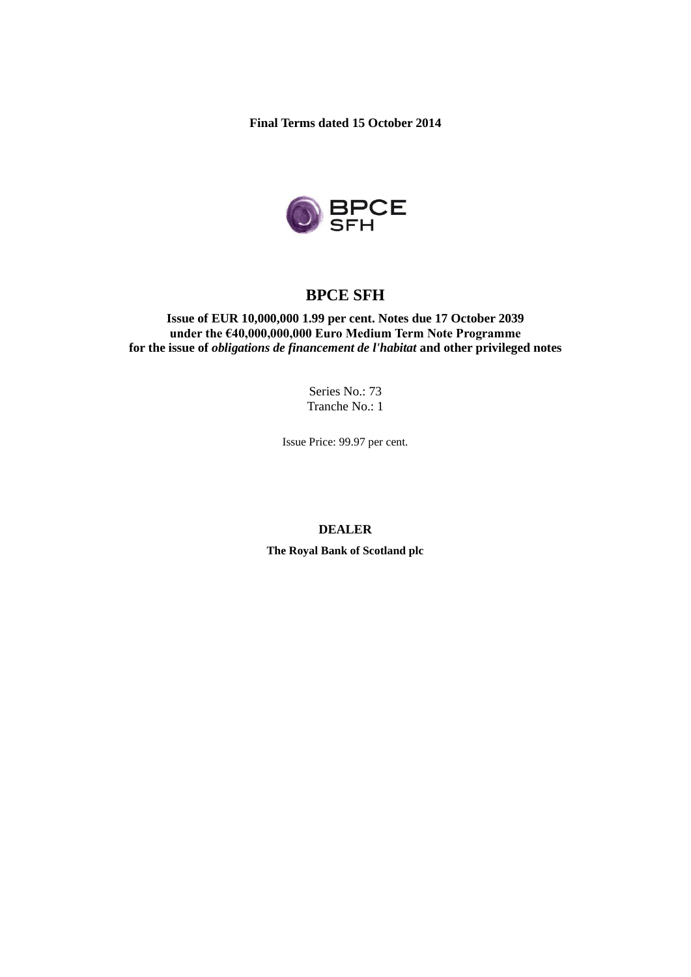**Final Terms dated 15 October 2014**



# **BPCE SFH**

**Issue of EUR 10,000,000 1.99 per cent. Notes due 17 October 2039 under the €40,000,000,000 Euro Medium Term Note Programme for the issue of** *obligations de financement de l'habitat* **and other privileged notes**

> Series No.: 73 Tranche No.: 1

Issue Price: 99.97 per cent.

# **DEALER**

**The Royal Bank of Scotland plc**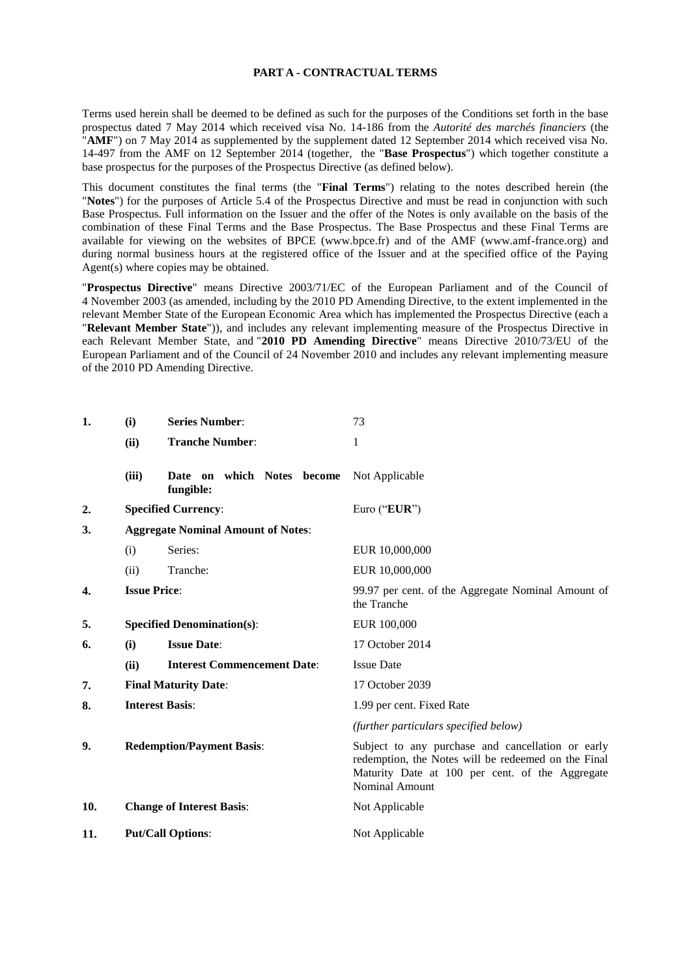#### **PART A - CONTRACTUAL TERMS**

Terms used herein shall be deemed to be defined as such for the purposes of the Conditions set forth in the base prospectus dated 7 May 2014 which received visa No. 14-186 from the *Autorité des marchés financiers* (the "**AMF**") on 7 May 2014 as supplemented by the supplement dated 12 September 2014 which received visa No. 14-497 from the AMF on 12 September 2014 (together, the "**Base Prospectus**") which together constitute a base prospectus for the purposes of the Prospectus Directive (as defined below).

This document constitutes the final terms (the "**Final Terms**") relating to the notes described herein (the "**Notes**") for the purposes of Article 5.4 of the Prospectus Directive and must be read in conjunction with such Base Prospectus. Full information on the Issuer and the offer of the Notes is only available on the basis of the combination of these Final Terms and the Base Prospectus. The Base Prospectus and these Final Terms are available for viewing on the websites of BPCE (www.bpce.fr) and of the AMF (www.amf-france.org) and during normal business hours at the registered office of the Issuer and at the specified office of the Paying Agent(s) where copies may be obtained.

"**Prospectus Directive**" means Directive 2003/71/EC of the European Parliament and of the Council of 4 November 2003 (as amended, including by the 2010 PD Amending Directive, to the extent implemented in the relevant Member State of the European Economic Area which has implemented the Prospectus Directive (each a "**Relevant Member State**")), and includes any relevant implementing measure of the Prospectus Directive in each Relevant Member State, and "**2010 PD Amending Directive**" means Directive 2010/73/EU of the European Parliament and of the Council of 24 November 2010 and includes any relevant implementing measure of the 2010 PD Amending Directive.

| 1.  | (i)                                       | <b>Series Number:</b>                      | 73                                                                                                                                                                            |
|-----|-------------------------------------------|--------------------------------------------|-------------------------------------------------------------------------------------------------------------------------------------------------------------------------------|
|     | (ii)                                      | <b>Tranche Number:</b>                     | 1                                                                                                                                                                             |
|     | (iii)                                     | which Notes become<br>Date on<br>fungible: | Not Applicable                                                                                                                                                                |
| 2.  |                                           | <b>Specified Currency:</b>                 | Euro ("EUR")                                                                                                                                                                  |
| 3.  | <b>Aggregate Nominal Amount of Notes:</b> |                                            |                                                                                                                                                                               |
|     | (i)                                       | Series:                                    | EUR 10,000,000                                                                                                                                                                |
|     | (ii)                                      | Tranche:                                   | EUR 10,000,000                                                                                                                                                                |
| 4.  | <b>Issue Price:</b>                       |                                            | 99.97 per cent. of the Aggregate Nominal Amount of<br>the Tranche                                                                                                             |
| 5.  |                                           | <b>Specified Denomination(s):</b>          | EUR 100,000                                                                                                                                                                   |
| 6.  | (i)                                       | <b>Issue Date:</b>                         | 17 October 2014                                                                                                                                                               |
|     | (ii)                                      | <b>Interest Commencement Date:</b>         | <b>Issue Date</b>                                                                                                                                                             |
| 7.  |                                           | <b>Final Maturity Date:</b>                | 17 October 2039                                                                                                                                                               |
| 8.  | <b>Interest Basis:</b>                    |                                            | 1.99 per cent. Fixed Rate                                                                                                                                                     |
|     |                                           |                                            | (further particulars specified below)                                                                                                                                         |
| 9.  | <b>Redemption/Payment Basis:</b>          |                                            | Subject to any purchase and cancellation or early<br>redemption, the Notes will be redeemed on the Final<br>Maturity Date at 100 per cent. of the Aggregate<br>Nominal Amount |
| 10. |                                           | <b>Change of Interest Basis:</b>           | Not Applicable                                                                                                                                                                |
| 11. |                                           | <b>Put/Call Options:</b>                   | Not Applicable                                                                                                                                                                |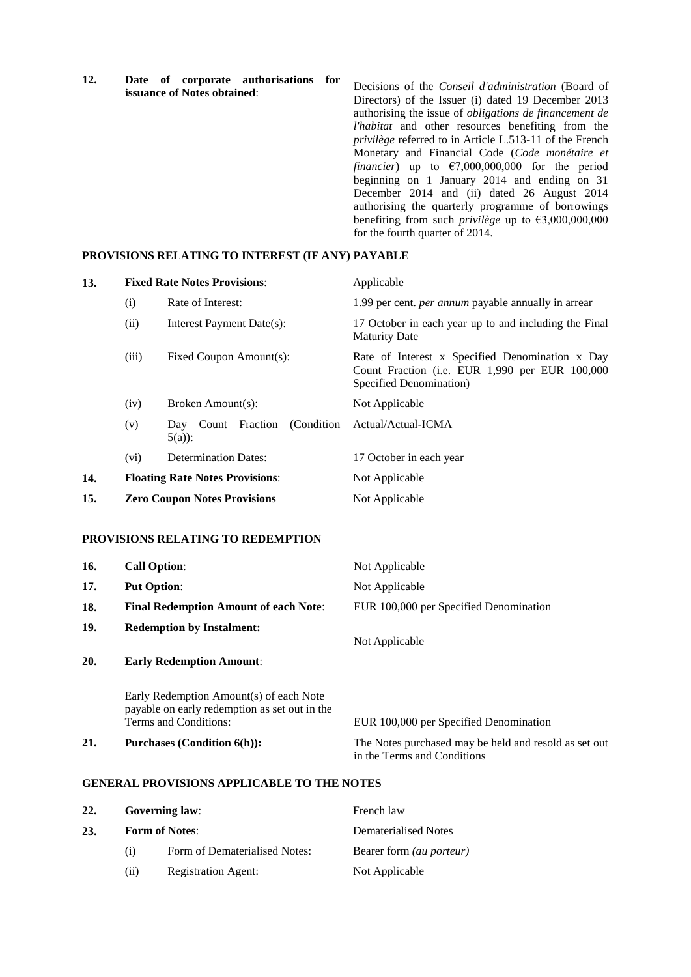**12. Date of corporate authorisations for issuance of Notes obtained**:

Decisions of the *Conseil d'administration* (Board of Directors) of the Issuer (i) dated 19 December 2013 authorising the issue of *obligations de financement de l'habitat* and other resources benefiting from the *privilège* referred to in Article L.513-11 of the French Monetary and Financial Code (*Code monétaire et financier*) up to  $\epsilon$ 7,000,000,000 for the period beginning on 1 January 2014 and ending on 31 December 2014 and (ii) dated 26 August 2014 authorising the quarterly programme of borrowings benefiting from such *privilège* up to €3,000,000,000 for the fourth quarter of 2014.

#### **PROVISIONS RELATING TO INTEREST (IF ANY) PAYABLE**

| 13. | <b>Fixed Rate Notes Provisions:</b> |                                                  | Applicable                                                                                                                   |
|-----|-------------------------------------|--------------------------------------------------|------------------------------------------------------------------------------------------------------------------------------|
|     | (i)                                 | Rate of Interest:                                | 1.99 per cent. <i>per annum</i> payable annually in arrear                                                                   |
|     | (ii)                                | Interest Payment Date(s):                        | 17 October in each year up to and including the Final<br><b>Maturity Date</b>                                                |
|     | (iii)                               | Fixed Coupon Amount(s):                          | Rate of Interest x Specified Denomination x Day<br>Count Fraction (i.e. EUR 1,990 per EUR 100,000<br>Specified Denomination) |
|     | (iv)                                | Broken Amount(s):                                | Not Applicable                                                                                                               |
|     | (v)                                 | Count Fraction<br>(Condition)<br>Day<br>$5(a)$ : | Actual/Actual-ICMA                                                                                                           |
|     | (vi)                                | <b>Determination Dates:</b>                      | 17 October in each year                                                                                                      |
| 14. |                                     | <b>Floating Rate Notes Provisions:</b>           | Not Applicable                                                                                                               |
| 15. |                                     | <b>Zero Coupon Notes Provisions</b>              | Not Applicable                                                                                                               |

# **PROVISIONS RELATING TO REDEMPTION**

| 16. | <b>Call Option:</b>                                                                                               | Not Applicable                         |
|-----|-------------------------------------------------------------------------------------------------------------------|----------------------------------------|
| 17. | <b>Put Option:</b>                                                                                                | Not Applicable                         |
| 18. | <b>Final Redemption Amount of each Note:</b>                                                                      | EUR 100,000 per Specified Denomination |
| 19. | <b>Redemption by Instalment:</b>                                                                                  | Not Applicable                         |
| 20. | <b>Early Redemption Amount:</b>                                                                                   |                                        |
|     | Early Redemption Amount(s) of each Note<br>payable on early redemption as set out in the<br>Terms and Conditions: | EUR 100,000 per Specified Denomination |

**21. Purchases (Condition 6(h)):** The Notes purchased may be held and resold as set out in the Terms and Conditions

# **GENERAL PROVISIONS APPLICABLE TO THE NOTES**

| 22. | <b>Governing law:</b><br><b>Form of Notes:</b> |                               | French law<br>Dematerialised Notes |  |
|-----|------------------------------------------------|-------------------------------|------------------------------------|--|
| 23. |                                                |                               |                                    |  |
|     | (i)                                            | Form of Dematerialised Notes: | Bearer form <i>(au porteur)</i>    |  |
|     | (i)                                            | <b>Registration Agent:</b>    | Not Applicable                     |  |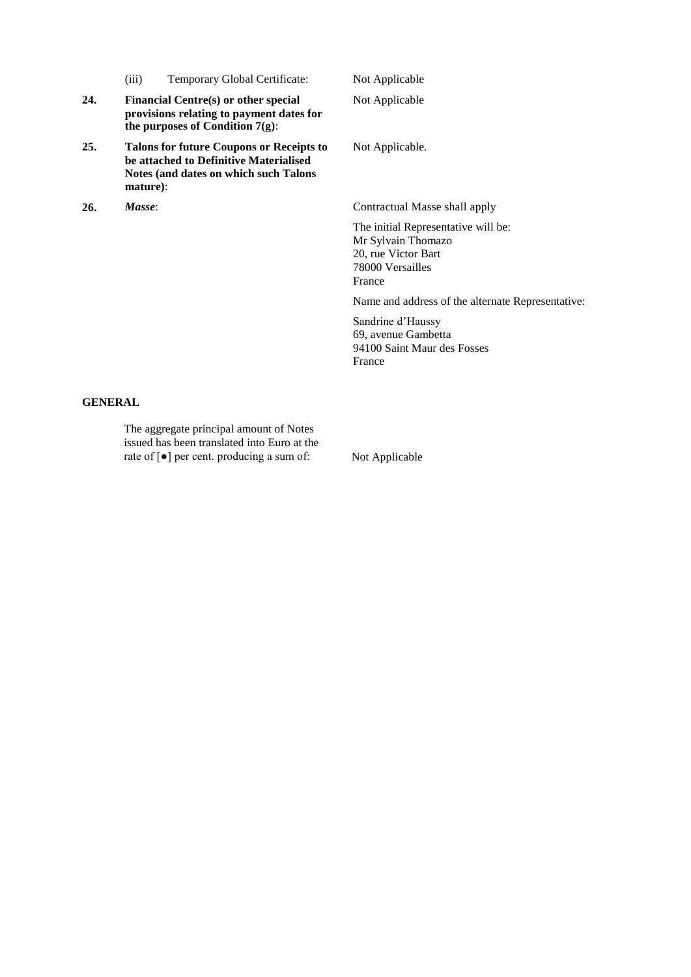| (iii) | Temporary Global Certificate: |  |  |
|-------|-------------------------------|--|--|
|-------|-------------------------------|--|--|

- **24. Financial Centre(s) or other special provisions relating to payment dates for the purposes of Condition 7(g)**:
- **25. Talons for future Coupons or Receipts to be attached to Definitive Materialised Notes (and dates on which such Talons mature)**:

Not Applicable

Not Applicable

Not Applicable.

**26.** *Masse*: Contractual Masse shall apply

The initial Representative will be: Mr Sylvain Thomazo 20, rue Victor Bart 78000 Versailles France

Name and address of the alternate Representative:

Sandrine d'Haussy 69, avenue Gambetta 94100 Saint Maur des Fosses France

# **GENERAL**

The aggregate principal amount of Notes issued has been translated into Euro at the rate of [●] per cent. producing a sum of: Not Applicable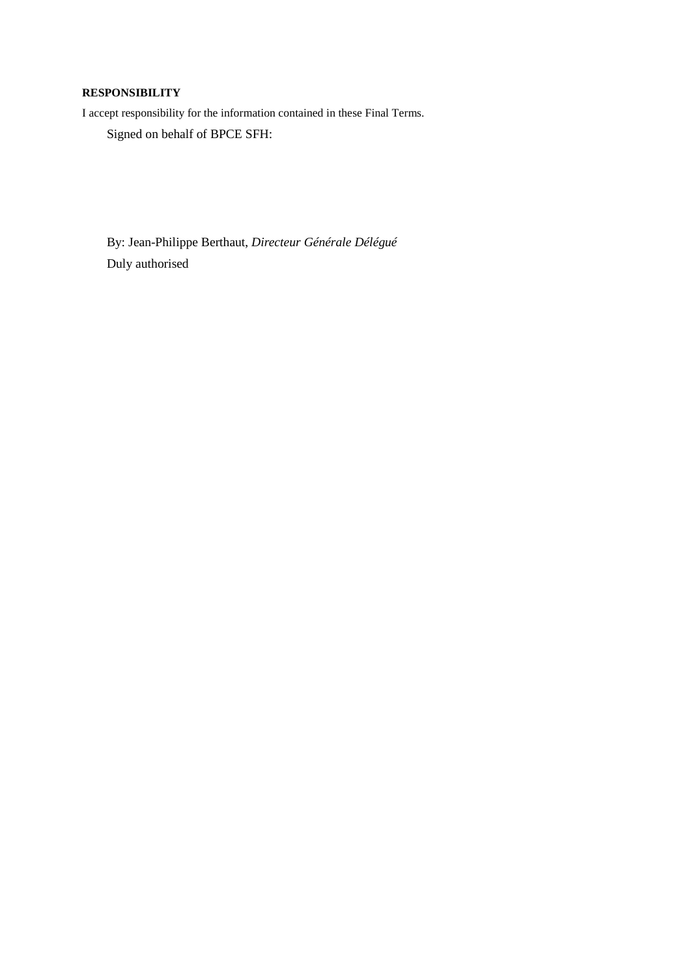# **RESPONSIBILITY**

I accept responsibility for the information contained in these Final Terms.

Signed on behalf of BPCE SFH:

By: Jean-Philippe Berthaut, *Directeur Générale Délégué* Duly authorised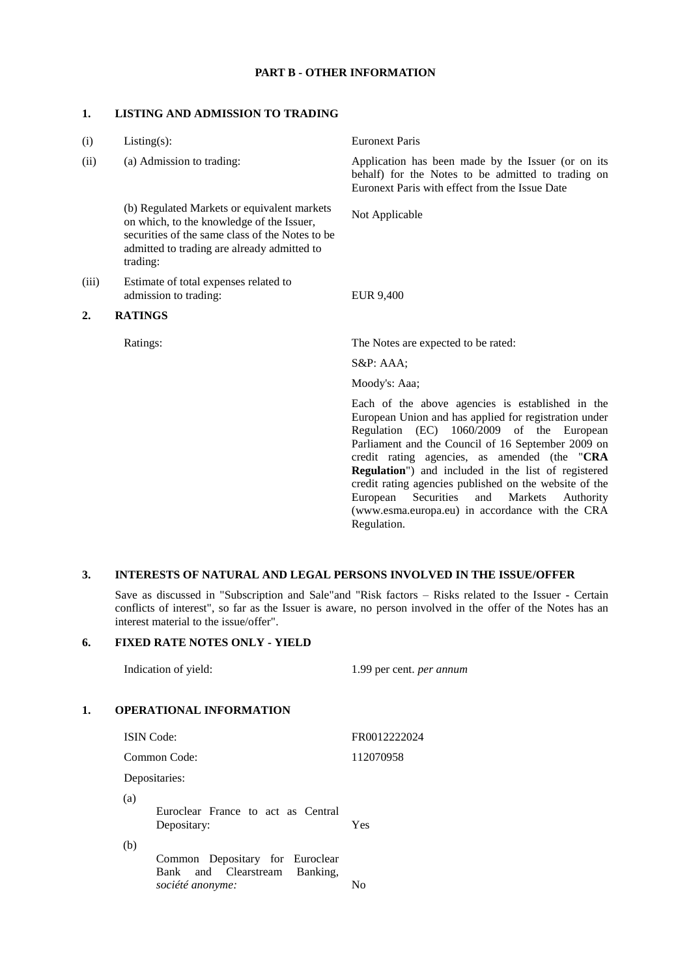# **PART B - OTHER INFORMATION**

#### **1. LISTING AND ADMISSION TO TRADING**

| (i)   | $Listing(s)$ :                                                                                                                                                                                         | <b>Euronext Paris</b>                                                                                                                                                                                                                                                                                                                                                                                                                                                                                                     |
|-------|--------------------------------------------------------------------------------------------------------------------------------------------------------------------------------------------------------|---------------------------------------------------------------------------------------------------------------------------------------------------------------------------------------------------------------------------------------------------------------------------------------------------------------------------------------------------------------------------------------------------------------------------------------------------------------------------------------------------------------------------|
| (ii)  | (a) Admission to trading:                                                                                                                                                                              | Application has been made by the Issuer (or on its<br>behalf) for the Notes to be admitted to trading on<br>Euronext Paris with effect from the Issue Date                                                                                                                                                                                                                                                                                                                                                                |
|       | (b) Regulated Markets or equivalent markets<br>on which, to the knowledge of the Issuer,<br>securities of the same class of the Notes to be<br>admitted to trading are already admitted to<br>trading: | Not Applicable                                                                                                                                                                                                                                                                                                                                                                                                                                                                                                            |
| (iii) | Estimate of total expenses related to<br>admission to trading:                                                                                                                                         | <b>EUR 9,400</b>                                                                                                                                                                                                                                                                                                                                                                                                                                                                                                          |
| 2.    | <b>RATINGS</b>                                                                                                                                                                                         |                                                                                                                                                                                                                                                                                                                                                                                                                                                                                                                           |
|       | Ratings:                                                                                                                                                                                               | The Notes are expected to be rated:                                                                                                                                                                                                                                                                                                                                                                                                                                                                                       |
|       |                                                                                                                                                                                                        | $S\&P: AAA;$                                                                                                                                                                                                                                                                                                                                                                                                                                                                                                              |
|       |                                                                                                                                                                                                        | Moody's: Aaa;                                                                                                                                                                                                                                                                                                                                                                                                                                                                                                             |
|       |                                                                                                                                                                                                        | Each of the above agencies is established in the<br>European Union and has applied for registration under<br>1060/2009<br>Regulation (EC)<br>of the<br>European<br>Parliament and the Council of 16 September 2009 on<br>credit rating agencies, as amended (the "CRA<br><b>Regulation</b> ") and included in the list of registered<br>credit rating agencies published on the website of the<br>European<br>Securities<br>Markets<br>and<br>Authority<br>(www.esma.europa.eu) in accordance with the CRA<br>Regulation. |

# **3. INTERESTS OF NATURAL AND LEGAL PERSONS INVOLVED IN THE ISSUE/OFFER**

Save as discussed in "Subscription and Sale"and "Risk factors – Risks related to the Issuer - Certain conflicts of interest", so far as the Issuer is aware, no person involved in the offer of the Notes has an interest material to the issue/offer".

# **6. FIXED RATE NOTES ONLY - YIELD**

Indication of yield: 1.99 per cent. *per annum*

# **1. OPERATIONAL INFORMATION**

| <b>ISIN</b> Code:                                                          | FR0012222024 |
|----------------------------------------------------------------------------|--------------|
| Common Code:                                                               | 112070958    |
| Depositaries:                                                              |              |
| (a)<br>Euroclear France to act as Central<br>Depositary:                   | Yes          |
| (b)<br>Common Depositary for Euroclear<br>Bank and Clearstream<br>Banking, |              |
| société anonyme:                                                           | No           |